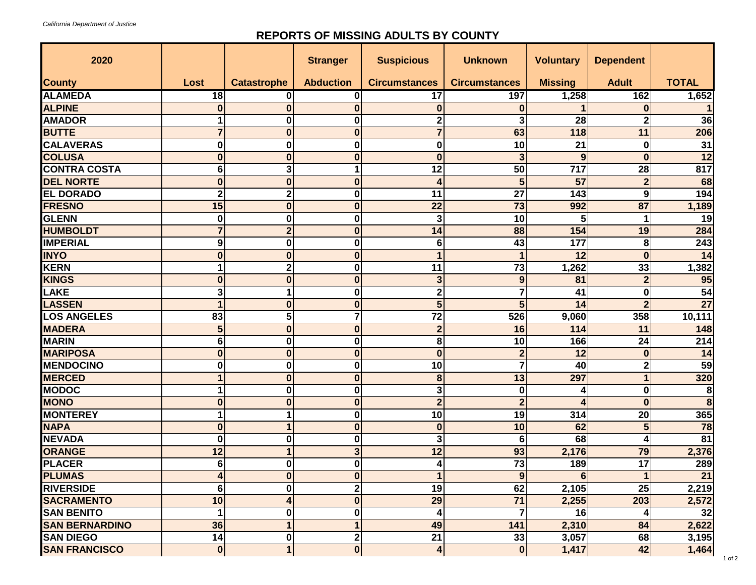## **REPORTS OF MISSING ADULTS BY COUNTY**

| 2020                  |                  |                         | <b>Stranger</b>  | <b>Suspicious</b>       | <b>Unknown</b>       | <b>Voluntary</b>        | <b>Dependent</b> |                  |
|-----------------------|------------------|-------------------------|------------------|-------------------------|----------------------|-------------------------|------------------|------------------|
| <b>County</b>         | Lost             | <b>Catastrophe</b>      | <b>Abduction</b> | <b>Circumstances</b>    | <b>Circumstances</b> | <b>Missing</b>          | <b>Adult</b>     | <b>TOTAL</b>     |
| <b>ALAMEDA</b>        | 18               | 0                       | 0                | 17                      | 197                  | 1,258                   | 162              | 1,652            |
| <b>ALPINE</b>         |                  | $\bf{0}$                | 0                | $\bf{0}$                | 0                    |                         | 0                |                  |
| <b>AMADOR</b>         |                  | $\boldsymbol{0}$        | 0                | $\mathbf 2$             | 3                    | 28                      | $\mathbf 2$      | 36               |
| <b>BUTTE</b>          |                  | $\boldsymbol{0}$        | 0                | $\overline{7}$          | 63                   | 118                     | 11               | 206              |
| <b>CALAVERAS</b>      | 0                | $\boldsymbol{0}$        | 0                | $\bf{0}$                | 10                   | 21                      | 0                | 31               |
| <b>COLUSA</b>         |                  | $\boldsymbol{0}$        | 0                | $\bf{0}$                | 3                    | 9                       | $\bf{0}$         | 12               |
| <b>CONTRA COSTA</b>   | 6                | 3                       |                  | 12                      | 50                   | 717                     | 28               | 817              |
| <b>DEL NORTE</b>      | U                | $\boldsymbol{0}$        | 0                | 4                       | 5                    | 57                      | $\overline{2}$   | 68               |
| <b>EL DORADO</b>      | າ                | $\overline{\mathbf{2}}$ | 0                | 11                      | 27                   | 143                     | 9                | 194              |
| <b>FRESNO</b>         | 15               | $\boldsymbol{0}$        | 0                | 22                      | 73                   | 992                     | 87               | 1,189            |
| <b>GLENN</b>          | 0                | $\boldsymbol{0}$        | 0                | 3                       | 10                   | 5                       |                  | 19               |
| <b>HUMBOLDT</b>       |                  | $\overline{2}$          | 0                | 14                      | 88                   | 154                     | 19               | 284              |
| <b>IMPERIAL</b>       | 9                | $\boldsymbol{0}$        | 0                | $6\phantom{1}6$         | 43                   | 177                     | 8                | 243              |
| <b>INYO</b>           | $\Omega$         | $\boldsymbol{0}$        | 0                | $\mathbf 1$             |                      | 12                      | $\bf{0}$         | 14               |
| <b>KERN</b>           |                  | $\overline{\mathbf{2}}$ | 0                | 11                      | 73                   | 1,262                   | 33               | 1,382            |
| <b>KINGS</b>          | <sup>0</sup>     | $\bf{0}$                | 0                | 3                       | 9                    | 81                      | $\overline{2}$   | 95               |
| LAKE                  | 3                |                         | 0                | $\mathbf 2$             |                      | 41                      | $\bf{0}$         | 54               |
| <b>LASSEN</b>         |                  | $\bf{0}$                | 0                | 5                       | 5                    | 14                      | $\overline{2}$   | $\overline{27}$  |
| <b>LOS ANGELES</b>    | 83               | 5                       |                  | 72                      | 526                  | 9,060                   | 358              | 10,111           |
| <b>MADERA</b>         | 5                | $\boldsymbol{0}$        | 0                | $\overline{2}$          | 16                   | 114                     | 11               | 148              |
| <b>MARIN</b>          | 6                | $\boldsymbol{0}$        | 0                | 8                       | 10                   | 166                     | 24               | 214              |
| <b>MARIPOSA</b>       |                  | $\bf{0}$                | 0                | $\bf{0}$                | $\overline{2}$       | 12                      | $\bf{0}$         | 14               |
| <b>MENDOCINO</b>      | U                | $\boldsymbol{0}$        | 0                | 10                      |                      | 40                      | $\mathbf 2$      | $\overline{59}$  |
| <b>MERCED</b>         |                  | $\boldsymbol{0}$        | 0                | $\boldsymbol{8}$        | 13                   | 297                     | 1                | 320              |
| <b>MODOC</b>          |                  | $\boldsymbol{0}$        | 0                | 3                       | $\bf{0}$             | 4                       | 0                | 8                |
| <b>MONO</b>           | $\boldsymbol{0}$ | $\boldsymbol{0}$        | $\boldsymbol{0}$ | 2 <sup>1</sup>          | 2 <sub>l</sub>       | $\overline{\mathbf{4}}$ | $\mathbf{0}$     | $\boldsymbol{8}$ |
| <b>MONTEREY</b>       |                  |                         | 0                | 10                      | 19                   | 314                     | 20               | 365              |
| <b>NAPA</b>           | $\bf{0}$         |                         | $\bf{0}$         | $\boldsymbol{0}$        | 10                   | 62                      | 5                | 78               |
| <b>NEVADA</b>         | 0                | 0                       | 0                | 3                       | 6                    | 68                      | 4                | $\overline{81}$  |
| ORANGE                | 12               |                         | 3                | 12                      | 93                   | 2,176                   | 79               | 2,376            |
| <b>PLACER</b>         | 6                | $\mathbf 0$             | $\boldsymbol{0}$ | 4                       | 73                   | 189                     | 17               | 289              |
| <b>PLUMAS</b>         |                  | $\boldsymbol{0}$        | $\boldsymbol{0}$ | $\mathbf{1}$            | 9                    | $6\phantom{1}6$         | 1                | 21               |
| <b>RIVERSIDE</b>      | 6                | $\mathbf 0$             | 2                | 19                      | 62                   | 2,105                   | 25               | 2,219            |
| <b>SACRAMENTO</b>     | 10               | 4                       | $\boldsymbol{0}$ | 29                      | 71                   | 2,255                   | 203              | 2,572            |
| <b>SAN BENITO</b>     |                  | 0                       | 0                | 4                       |                      | 16                      |                  | 32               |
| <b>SAN BERNARDINO</b> | 36               |                         |                  | 49                      | 141                  | 2,310                   | 84               | 2,622            |
| <b>SAN DIEGO</b>      | 14               | 0                       | 2                | 21                      | 33                   | 3,057                   | 68               | 3,195            |
| <b>SAN FRANCISCO</b>  | $\boldsymbol{0}$ | $\mathbf 1$             | $\boldsymbol{0}$ | $\overline{\mathbf{4}}$ | $\bf{0}$             | 1,417                   | 42               | 1,464            |